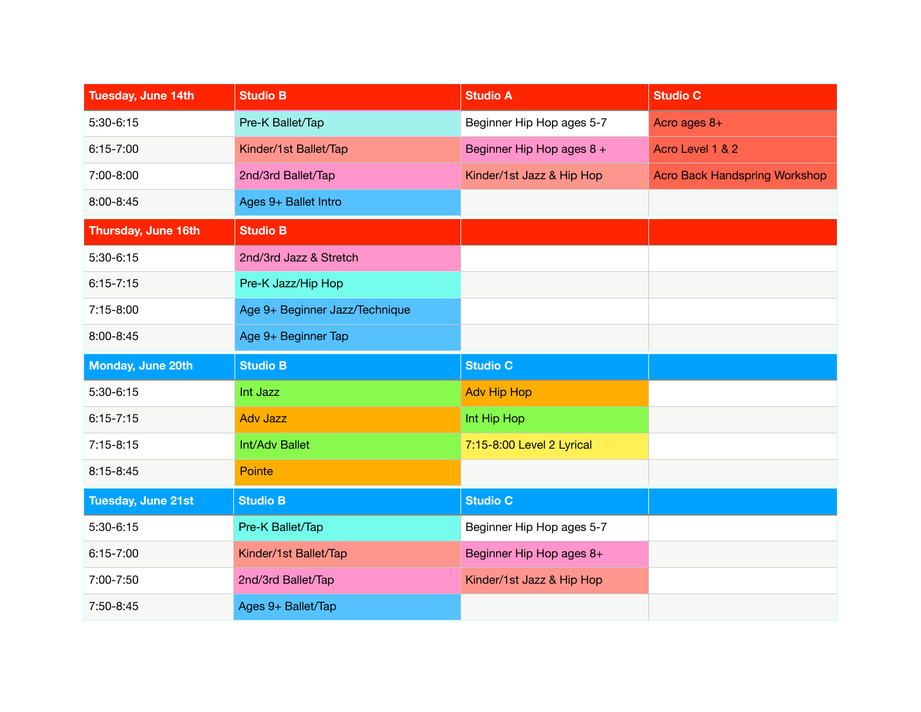| Tuesday, June 14th  | <b>Studio B</b>                | <b>Studio A</b>           | <b>Studio C</b>                      |
|---------------------|--------------------------------|---------------------------|--------------------------------------|
| 5:30-6:15           | Pre-K Ballet/Tap               | Beginner Hip Hop ages 5-7 | Acro ages $8+$                       |
| $6:15 - 7:00$       | Kinder/1st Ballet/Tap          | Beginner Hip Hop ages 8 + | Acro Level 1 & 2                     |
| 7:00-8:00           | 2nd/3rd Ballet/Tap             | Kinder/1st Jazz & Hip Hop | <b>Acro Back Handspring Workshop</b> |
| 8:00-8:45           | Ages 9+ Ballet Intro           |                           |                                      |
| Thursday, June 16th | <b>Studio B</b>                |                           |                                      |
| 5:30-6:15           | 2nd/3rd Jazz & Stretch         |                           |                                      |
| $6:15 - 7:15$       | Pre-K Jazz/Hip Hop             |                           |                                      |
| 7:15-8:00           | Age 9+ Beginner Jazz/Technique |                           |                                      |
| 8:00-8:45           | Age 9+ Beginner Tap            |                           |                                      |
|                     |                                |                           |                                      |
| Monday, June 20th   | <b>Studio B</b>                | <b>Studio C</b>           |                                      |
| 5:30-6:15           | Int Jazz                       | <b>Adv Hip Hop</b>        |                                      |
| $6:15 - 7:15$       | <b>Adv Jazz</b>                | Int Hip Hop               |                                      |
| $7:15-8:15$         | Int/Adv Ballet                 | 7:15-8:00 Level 2 Lyrical |                                      |
| 8:15-8:45           | <b>Pointe</b>                  |                           |                                      |
| Tuesday, June 21st  | <b>Studio B</b>                | <b>Studio C</b>           |                                      |
| 5:30-6:15           | Pre-K Ballet/Tap               | Beginner Hip Hop ages 5-7 |                                      |
| $6:15 - 7:00$       | Kinder/1st Ballet/Tap          | Beginner Hip Hop ages 8+  |                                      |
| 7:00-7:50           | 2nd/3rd Ballet/Tap             | Kinder/1st Jazz & Hip Hop |                                      |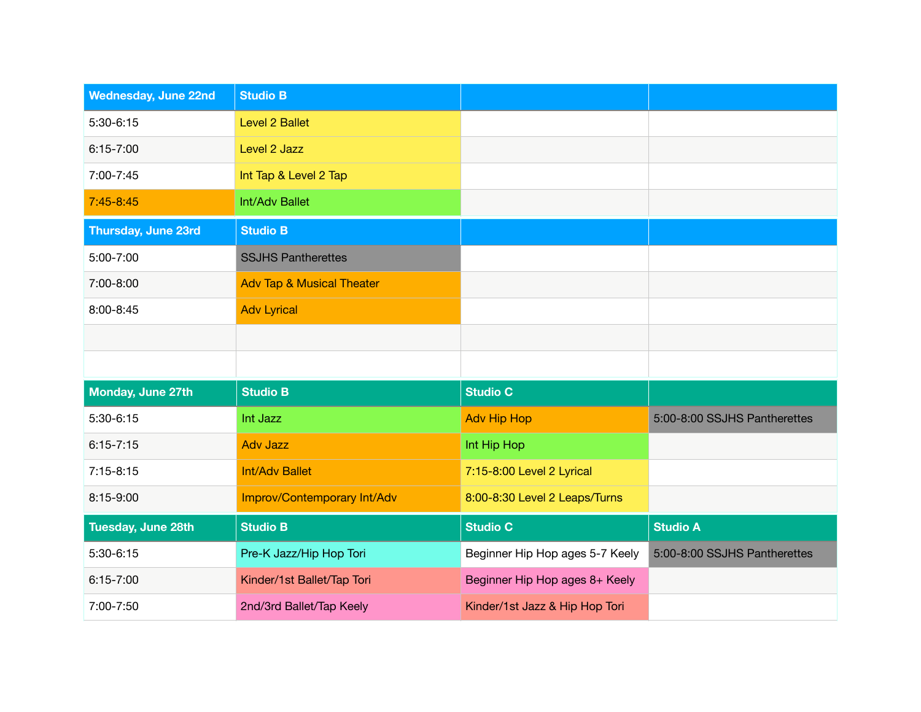| <b>Wednesday, June 22nd</b> | <b>Studio B</b>                      |                                 |                              |
|-----------------------------|--------------------------------------|---------------------------------|------------------------------|
| 5:30-6:15                   | Level 2 Ballet                       |                                 |                              |
| $6:15 - 7:00$               | Level 2 Jazz                         |                                 |                              |
| 7:00-7:45                   | Int Tap & Level 2 Tap                |                                 |                              |
| $7:45 - 8:45$               | Int/Adv Ballet                       |                                 |                              |
| <b>Thursday, June 23rd</b>  | <b>Studio B</b>                      |                                 |                              |
| 5:00-7:00                   | <b>SSJHS Pantherettes</b>            |                                 |                              |
| 7:00-8:00                   | <b>Adv Tap &amp; Musical Theater</b> |                                 |                              |
| 8:00-8:45                   | <b>Adv Lyrical</b>                   |                                 |                              |
|                             |                                      |                                 |                              |
|                             |                                      |                                 |                              |
| Monday, June 27th           | <b>Studio B</b>                      | <b>Studio C</b>                 |                              |
| 5:30-6:15                   | Int Jazz                             | <b>Adv Hip Hop</b>              | 5:00-8:00 SSJHS Pantherettes |
| $6:15 - 7:15$               | <b>Adv Jazz</b>                      | Int Hip Hop                     |                              |
| $7:15 - 8:15$               | <b>Int/Adv Ballet</b>                | 7:15-8:00 Level 2 Lyrical       |                              |
| 8:15-9:00                   | Improv/Contemporary Int/Adv          | 8:00-8:30 Level 2 Leaps/Turns   |                              |
| Tuesday, June 28th          | <b>Studio B</b>                      | <b>Studio C</b>                 | <b>Studio A</b>              |
| 5:30-6:15                   | Pre-K Jazz/Hip Hop Tori              | Beginner Hip Hop ages 5-7 Keely | 5:00-8:00 SSJHS Pantherettes |
| $6:15 - 7:00$               | Kinder/1st Ballet/Tap Tori           | Beginner Hip Hop ages 8+ Keely  |                              |
| 7:00-7:50                   | 2nd/3rd Ballet/Tap Keely             | Kinder/1st Jazz & Hip Hop Tori  |                              |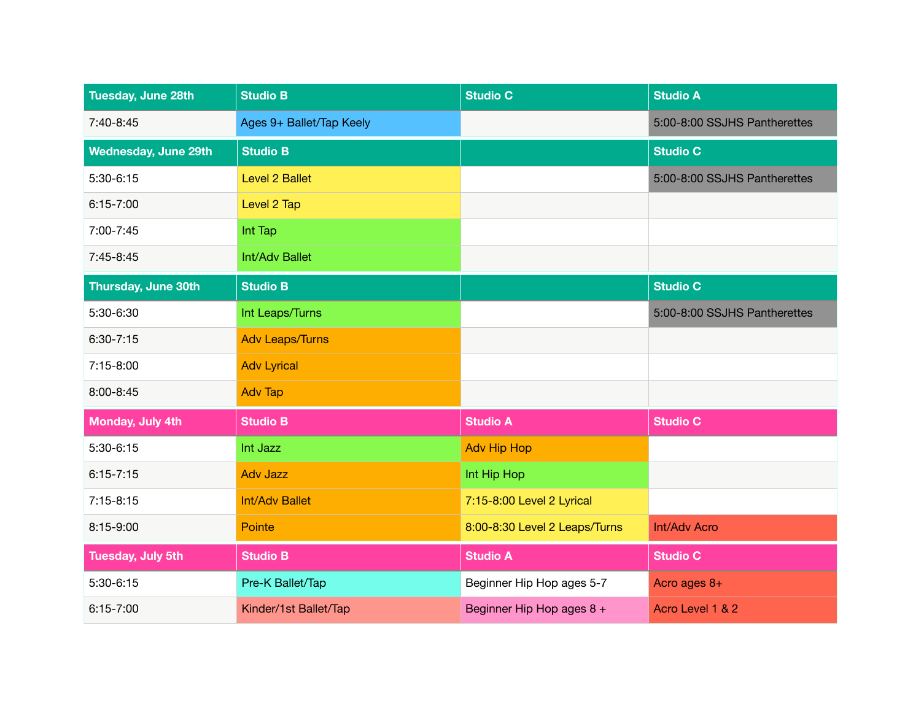| Tuesday, June 28th          | <b>Studio B</b>          | <b>Studio C</b>               | <b>Studio A</b>              |
|-----------------------------|--------------------------|-------------------------------|------------------------------|
| 7:40-8:45                   | Ages 9+ Ballet/Tap Keely |                               | 5:00-8:00 SSJHS Pantherettes |
| <b>Wednesday, June 29th</b> | <b>Studio B</b>          |                               | <b>Studio C</b>              |
| 5:30-6:15                   | Level 2 Ballet           |                               | 5:00-8:00 SSJHS Pantherettes |
| $6:15 - 7:00$               | Level 2 Tap              |                               |                              |
| 7:00-7:45                   | Int Tap                  |                               |                              |
| 7:45-8:45                   | Int/Adv Ballet           |                               |                              |
| Thursday, June 30th         | <b>Studio B</b>          |                               | <b>Studio C</b>              |
| 5:30-6:30                   | Int Leaps/Turns          |                               | 5:00-8:00 SSJHS Pantherettes |
| $6:30 - 7:15$               | <b>Adv Leaps/Turns</b>   |                               |                              |
| 7:15-8:00                   | <b>Adv Lyrical</b>       |                               |                              |
| 8:00-8:45                   | <b>Adv Tap</b>           |                               |                              |
| Monday, July 4th            | <b>Studio B</b>          | <b>Studio A</b>               | <b>Studio C</b>              |
| 5:30-6:15                   | Int Jazz                 | <b>Adv Hip Hop</b>            |                              |
| $6:15 - 7:15$               | <b>Adv Jazz</b>          | Int Hip Hop                   |                              |
| $7:15-8:15$                 | <b>Int/Adv Ballet</b>    | 7:15-8:00 Level 2 Lyrical     |                              |
| 8:15-9:00                   | Pointe                   | 8:00-8:30 Level 2 Leaps/Turns | Int/Adv Acro                 |
| <b>Tuesday, July 5th</b>    | <b>Studio B</b>          | <b>Studio A</b>               | <b>Studio C</b>              |
| 5:30-6:15                   | Pre-K Ballet/Tap         | Beginner Hip Hop ages 5-7     | Acro ages $8+$               |
| $6:15 - 7:00$               | Kinder/1st Ballet/Tap    | Beginner Hip Hop ages 8 +     | Acro Level 1 & 2             |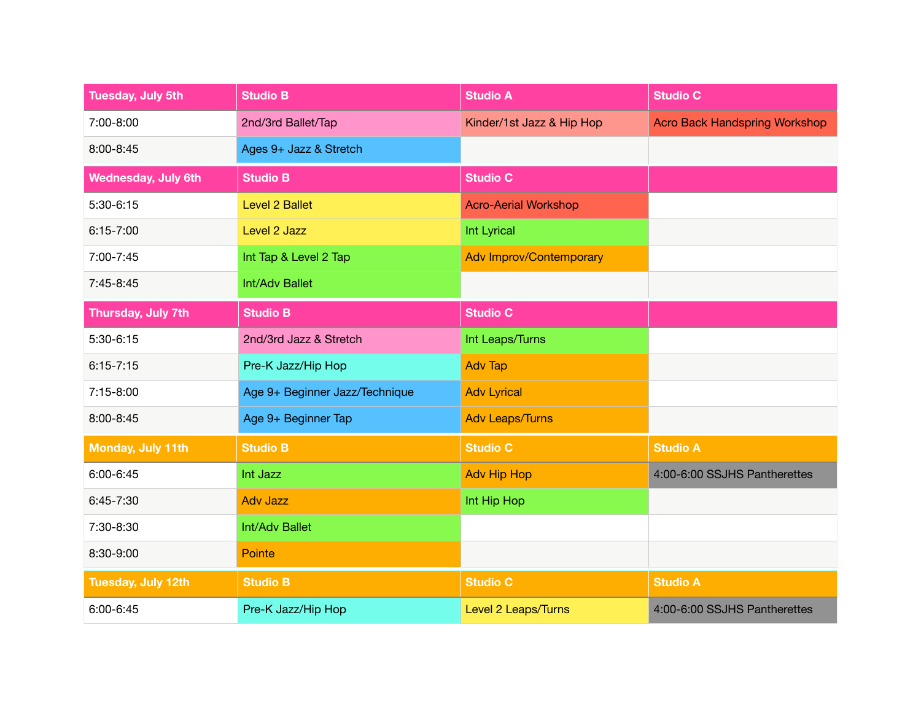| <b>Tuesday, July 5th</b>   | <b>Studio B</b>                | <b>Studio A</b>                | <b>Studio C</b>               |
|----------------------------|--------------------------------|--------------------------------|-------------------------------|
| $7:00 - 8:00$              | 2nd/3rd Ballet/Tap             | Kinder/1st Jazz & Hip Hop      | Acro Back Handspring Workshop |
| 8:00-8:45                  | Ages 9+ Jazz & Stretch         |                                |                               |
| <b>Wednesday, July 6th</b> | <b>Studio B</b>                | <b>Studio C</b>                |                               |
| 5:30-6:15                  | <b>Level 2 Ballet</b>          | <b>Acro-Aerial Workshop</b>    |                               |
| $6:15 - 7:00$              | Level 2 Jazz                   | Int Lyrical                    |                               |
| 7:00-7:45                  | Int Tap & Level 2 Tap          | <b>Adv Improv/Contemporary</b> |                               |
| $7:45-8:45$                | Int/Adv Ballet                 |                                |                               |
| Thursday, July 7th         | <b>Studio B</b>                | <b>Studio C</b>                |                               |
| $5:30-6:15$                | 2nd/3rd Jazz & Stretch         | Int Leaps/Turns                |                               |
| $6:15 - 7:15$              | Pre-K Jazz/Hip Hop             | <b>Adv Tap</b>                 |                               |
| 7:15-8:00                  | Age 9+ Beginner Jazz/Technique | <b>Adv Lyrical</b>             |                               |
| 8:00-8:45                  | Age 9+ Beginner Tap            | <b>Adv Leaps/Turns</b>         |                               |
| Monday, July 11th          | <b>Studio B</b>                | <b>Studio C</b>                | <b>Studio A</b>               |
| 6:00-6:45                  | Int Jazz                       | <b>Adv Hip Hop</b>             | 4:00-6:00 SSJHS Pantherettes  |
| $6:45 - 7:30$              | <b>Adv Jazz</b>                | Int Hip Hop                    |                               |
| 7:30-8:30                  | Int/Adv Ballet                 |                                |                               |
| 8:30-9:00                  | Pointe                         |                                |                               |
| Tuesday, July 12th         | <b>Studio B</b>                | <b>Studio C</b>                | <b>Studio A</b>               |
| 6:00-6:45                  | Pre-K Jazz/Hip Hop             | Level 2 Leaps/Turns            | 4:00-6:00 SSJHS Pantherettes  |